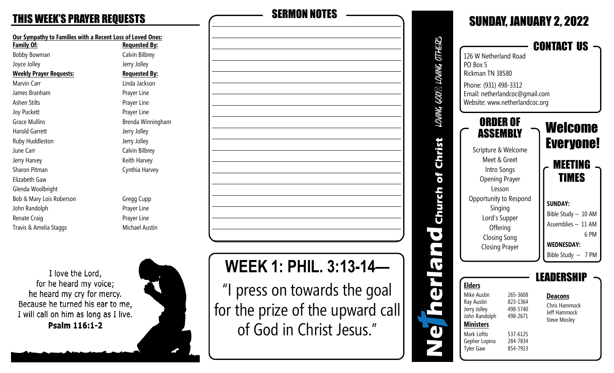# THIS WEEK'S PRAYER REQUESTS SERMON NOTES

| <b>Our Sympathy to Families with a Recent Loss of</b> |     |  |  |
|-------------------------------------------------------|-----|--|--|
| <b>Family Of:</b>                                     | Re  |  |  |
| <b>Bobby Bowman</b>                                   | Ca  |  |  |
| Joyce Jolley                                          | Je  |  |  |
| <b>Weekly Prayer Requests:</b>                        | R   |  |  |
| Marvin Carr                                           | Lir |  |  |
| James Branham                                         | Pr  |  |  |
| Ashen Stilts                                          | Pr  |  |  |
| <b>Joy Puckett</b>                                    | Pr  |  |  |
| <b>Grace Mullins</b>                                  | Br  |  |  |
| <b>Harold Garrett</b>                                 | Je  |  |  |
| Ruby Huddleston                                       | Je  |  |  |
| June Carr                                             | Сa  |  |  |
| Jerry Harvey                                          | Kє  |  |  |
| Sharon Pitman                                         | Сy  |  |  |
| Elizabeth Gaw                                         |     |  |  |
| Glenda Woolbright                                     |     |  |  |
| Bob & Mary Lois Roberson                              | Gr  |  |  |
| John Randolph                                         | Pr  |  |  |
| Renate Craig                                          | Pr  |  |  |
| Travis & Amelia Staggs                                | Μ   |  |  |
|                                                       |     |  |  |

**of Loved Ones: Family Of: Requested By:** alvin Bilbrey erry Jolley **Requested By:** inda Jackson rayer Line rayer Line rayer Line renda Winningham erry Jolley erry Jolley alvin Bilbrey eith Harvey ynthia Harvey

regg Cupp rayer Line rayer Line **Tichael Austin** 

I love the Lord, for he heard my voice; he heard my cry for mercy. Because he turned his ear to me, I will call on him as long as I live. Psalm 116:1-2

**WEEK 1: PHIL. 3:13-14—** 

"I press on towards the goal for the prize of the upward call of God in Christ Jesus."

| LOVING GOD⊠ LOVING OTHI | 126 W Netherland Road<br>PO Box 5<br>Rickman TN 38580<br>Phone: (931) 498-3312<br>Email: netherlandcoc@gmail.com<br>Website: www.netherlandcoc.org                                                                              |                                                                                  | <b>SUNDAY, JANUARY 2, 2022</b><br>CONTACT US                                                                                                                                         |
|-------------------------|---------------------------------------------------------------------------------------------------------------------------------------------------------------------------------------------------------------------------------|----------------------------------------------------------------------------------|--------------------------------------------------------------------------------------------------------------------------------------------------------------------------------------|
| of Christ<br>lich       | ORDER OF<br>ASSEMBLY<br>Scripture & Welcome<br>Meet & Greet<br>Intro Songs<br><b>Opening Prayer</b><br>Lesson<br>Opportunity to Respond<br>Singing<br>Lord's Supper<br>Offering<br><b>Closing Song</b><br><b>Closing Prayer</b> |                                                                                  | Welcome<br><b>Everyone!</b><br><b>MEETING</b><br><b>TIMES</b><br><b>SUNDAY:</b><br>Bible Study - 10 AM<br>Assemblies - 11 AM<br>6 PM<br><b>WEDNESDAY:</b><br>Bible Study $-$<br>7 PM |
|                         | <b>Elders</b><br>Mike Austin<br>Ray Austin<br>Jerry Jolley<br>John Randolph<br><b>Ministers</b><br>Mark Loftis<br>Gepher Lopina<br><b>Tyler Gaw</b>                                                                             | 265-3608<br>823-1364<br>498-5740<br>498-2671<br>537-6125<br>284-7834<br>854-7913 | ERS<br><b>Deacons</b><br>Chris Hammock<br>Jeff Hammock<br><b>Steve Mosley</b>                                                                                                        |